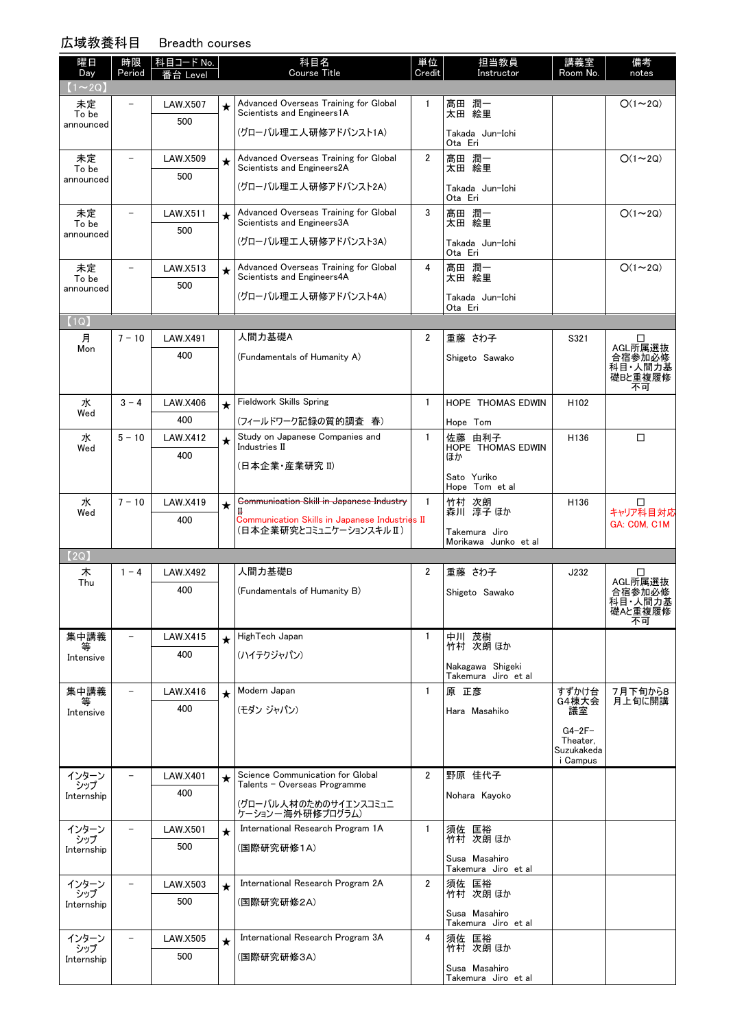## 広域教養科目 Breadth courses

| ムーダナメ 」  ミ 1イロ     |                          | בטפומטטו עסטוש          |         |                                                                          |                |                            |                        |                    |
|--------------------|--------------------------|-------------------------|---------|--------------------------------------------------------------------------|----------------|----------------------------|------------------------|--------------------|
| 曜日<br>Day          | 時限<br>Period             | 科目コード No.  <br>番台 Level |         | 科目名<br><b>Course Title</b>                                               | 単位<br>Credit   | 担当教員<br>Instructor         | 講義室<br>Room No.        | 備考<br>notes        |
| $(1\sim 2Q)$       |                          |                         |         |                                                                          |                |                            |                        |                    |
| 未定<br>To be        |                          | <b>LAW.X507</b>         | $\star$ | Advanced Overseas Training for Global<br>Scientists and Engineers1A      | 1              | 髙田 潤一<br>太田 絵里             |                        | $O(1\sim 2Q)$      |
| announced          |                          | 500                     |         |                                                                          |                |                            |                        |                    |
|                    |                          |                         |         | (グローバル理工人研修アドバンスト1A)                                                     |                | Takada Jun-Ichi<br>Ota Eri |                        |                    |
| 未定                 |                          | <b>LAW.X509</b>         | $\star$ | Advanced Overseas Training for Global                                    | $\overline{2}$ | 髙田 潤一                      |                        | $O(1\sim 2Q)$      |
| To be<br>announced |                          | 500                     |         | Scientists and Engineers2A                                               |                | 太田 絵里                      |                        |                    |
|                    |                          |                         |         | (グローバル理工人研修アドバンスト2A)                                                     |                | Takada Jun-Ichi<br>Ota Eri |                        |                    |
| 未定                 | $\overline{\phantom{0}}$ | LAW.X511                | $\star$ | Advanced Overseas Training for Global<br>Scientists and Engineers3A      | 3              | 髙田 潤一                      |                        | $O(1\sim 2Q)$      |
| To be<br>announced |                          | 500                     |         |                                                                          |                | 太田 絵里                      |                        |                    |
|                    |                          |                         |         | (グローバル理工人研修アドバンスト3A)                                                     |                | Takada Jun-Ichi<br>Ota Eri |                        |                    |
| 未定                 | $\equiv$                 | LAW.X513                | $\star$ | Advanced Overseas Training for Global                                    | 4              | 髙田 潤一                      |                        | $O(1\sim 2Q)$      |
| To be<br>announced |                          | 500                     |         | Scientists and Engineers4A                                               |                | 太田 絵里                      |                        |                    |
|                    |                          |                         |         | (グローバル理工人研修アドバンスト4A)                                                     |                | Takada Jun-Ichi<br>Ota Eri |                        |                    |
| (1Q)               |                          |                         |         |                                                                          |                |                            |                        |                    |
| 月                  | $7 - 10$                 | <b>LAW.X491</b>         |         | 人間力基礎A                                                                   | $\overline{2}$ | 重藤 さわ子                     | S321                   | □                  |
| Mon                |                          | 400                     |         | (Fundamentals of Humanity A)                                             |                | Shigeto Sawako             |                        | AGL所属選抜<br>合宿参加必修  |
|                    |                          |                         |         |                                                                          |                |                            |                        | 科目人間力基<br>礎Bと重複履修  |
|                    |                          |                         |         |                                                                          |                |                            |                        | 不可                 |
| 水                  | $3 - 4$                  | <b>LAW.X406</b>         | $\star$ | <b>Fieldwork Skills Spring</b>                                           | $\mathbf{1}$   | <b>HOPE THOMAS EDWIN</b>   | H <sub>102</sub>       |                    |
| Wed                |                          | 400                     |         | (フィールドワーク記録の質的調査 春)                                                      |                | Hope Tom                   |                        |                    |
| 水                  | $5 - 10$                 | <b>LAW.X412</b>         | $\star$ | Study on Japanese Companies and<br>Industries II                         | $\mathbf{1}$   | 佐藤 由利子                     | H136                   | □                  |
| Wed                |                          | 400                     |         |                                                                          |                | HOPE THOMAS EDWIN<br>ほか    |                        |                    |
|                    |                          |                         |         | (日本企業・産業研究 II)                                                           |                | Sato Yuriko                |                        |                    |
|                    |                          |                         |         |                                                                          |                | Hope Tom et al             |                        |                    |
| 水<br>Wed           | $7 - 10$                 | LAW.X419                | $\star$ | Communication Skill in Japanese Industry                                 | 1              | 竹村 次朗<br>森川 淳子 ほか          | H136                   | □<br>キャリア科目対応      |
|                    |                          | 400                     |         | Communication Skills in Japanese Industries II<br>(日本企業研究とコミュニケーションスキルⅡ) |                | Takemura Jiro              |                        | GA: COM, C1M       |
|                    |                          |                         |         |                                                                          |                | Morikawa Junko et al       |                        |                    |
| [2Q]               |                          |                         |         |                                                                          |                |                            |                        |                    |
| 木<br>Thu           | $1 - 4$                  | <b>LAW.X492</b>         |         | 人間力基礎B                                                                   | $\overline{2}$ | 重藤 さわ子                     | J232                   | □<br>AGL所属選抜       |
|                    |                          | 400                     |         | (Fundamentals of Humanity B)                                             |                | Shigeto Sawako             |                        | 合宿参加必修             |
|                    |                          |                         |         |                                                                          |                |                            |                        | 科目·人間力基<br>礎Aと重複履修 |
|                    | $\overline{\phantom{0}}$ |                         |         |                                                                          |                |                            |                        | 不可                 |
| 集中講義<br>等          |                          | LAW.X415                | $\star$ | HighTech Japan                                                           | 1              | 中川 茂樹<br>竹村 次朗 ほか          |                        |                    |
| Intensive          |                          | 400                     |         | (ハイテクジャパン)                                                               |                | Nakagawa Shigeki           |                        |                    |
|                    |                          |                         |         |                                                                          |                | Takemura Jiro et al        |                        |                    |
| 集中講義<br>等          | $\overline{\phantom{0}}$ | LAW.X416                | $\star$ | Modern Japan                                                             | $\mathbf{1}$   | 原 正彦                       | すずかけ台<br>G4棟大会         | 7月下旬から8<br>月上旬に開講  |
| Intensive          |                          | 400                     |         | (モダン ジャパン)                                                               |                | Hara Masahiko              | 議室                     |                    |
|                    |                          |                         |         |                                                                          |                |                            | $G4-2F-$               |                    |
|                    |                          |                         |         |                                                                          |                |                            | Theater,<br>Suzukakeda |                    |
|                    |                          |                         |         |                                                                          |                |                            | i Campus               |                    |
| インターン<br>シップ       |                          | <b>LAW.X401</b>         | $\star$ | Science Communication for Global<br>Talents – Overseas Programme         | $\overline{2}$ | 野原 佳代子                     |                        |                    |
|                    |                          | 400                     |         |                                                                          |                |                            |                        |                    |

| 集中講義<br>等                  |                          | LAW.X416        | $\star$ | Modern Japan                                                     |                | 原 正彦                                 | すずかけ台<br>G4棟大会                                 | 7月下旬から8<br>月上旬に開講 |
|----------------------------|--------------------------|-----------------|---------|------------------------------------------------------------------|----------------|--------------------------------------|------------------------------------------------|-------------------|
| Intensive                  |                          | 400             |         | (モダン ジャパン)<br>Hara Masahiko                                      |                | 議室                                   |                                                |                   |
|                            |                          |                 |         |                                                                  |                |                                      | $G4-2F-$<br>Theater,<br>Suzukakeda<br>i Campus |                   |
| インターン<br>シップ               |                          | <b>LAW.X401</b> | $\star$ | Science Communication for Global<br>Talents - Overseas Programme | $\overline{2}$ | 野原 佳代子                               |                                                |                   |
| Internship                 |                          | 400             |         | (グローバル人材のためのサイエンスコミュニ<br>ケーションー海外研修プログラム)                        |                | Nohara Kayoko                        |                                                |                   |
| インターン<br>シップ               | $\overline{\phantom{0}}$ | <b>LAW.X501</b> | $\star$ | International Research Program 1A                                | 1              | 須佐 匡裕<br>竹村 次朗 ほか                    |                                                |                   |
| Internship                 |                          | 500             |         | (国際研究研修1A)                                                       |                |                                      |                                                |                   |
|                            |                          |                 |         |                                                                  |                | Susa Masahiro<br>Takemura Jiro et al |                                                |                   |
| インターン<br>シップ<br>Internship |                          | LAW.X503        | $\star$ | International Research Program 2A                                | $\overline{2}$ | 須佐 匡裕<br>竹村 次朗 ほか                    |                                                |                   |
|                            |                          | 500             |         | (国際研究研修2A)                                                       |                |                                      |                                                |                   |
|                            |                          |                 |         |                                                                  |                | Susa Masahiro<br>Takemura Jiro et al |                                                |                   |
| インターン<br>シップ               |                          | <b>LAW.X505</b> | $\star$ | International Research Program 3A                                | 4              | 須佐 匡裕<br>竹村 次朗 ほか                    |                                                |                   |
| Internship                 |                          | 500             |         | (国際研究研修3A)                                                       |                |                                      |                                                |                   |
|                            |                          |                 |         |                                                                  |                | Susa Masahiro<br>Takemura Jiro et al |                                                |                   |